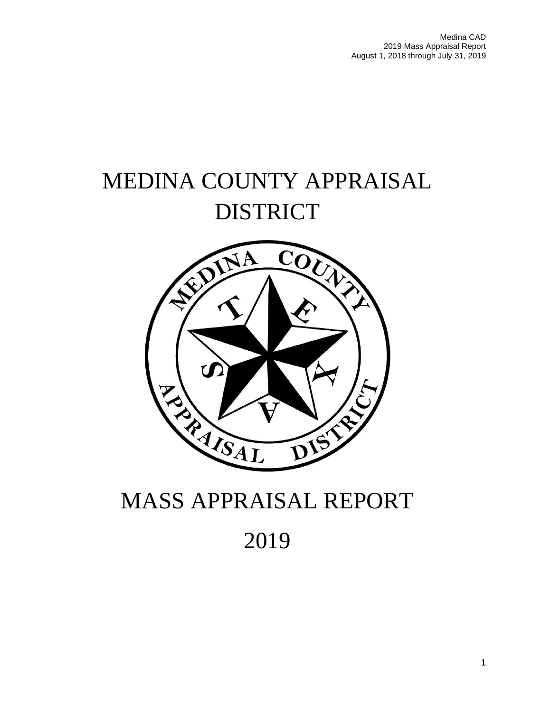Medina CAD 2019 Mass Appraisal Report August 1, 2018 through July 31, 2019

# MEDINA COUNTY APPRAISAL DISTRICT



# MASS APPRAISAL REPORT

2019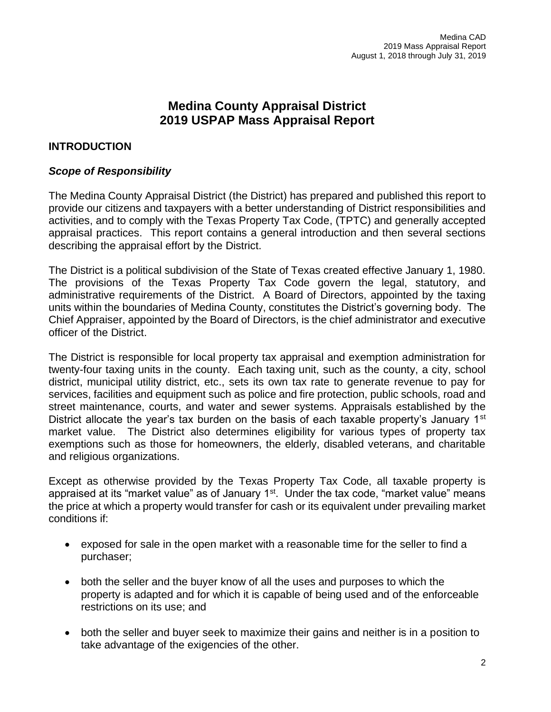# **Medina County Appraisal District 2019 USPAP Mass Appraisal Report**

# **INTRODUCTION**

# *Scope of Responsibility*

The Medina County Appraisal District (the District) has prepared and published this report to provide our citizens and taxpayers with a better understanding of District responsibilities and activities, and to comply with the Texas Property Tax Code, (TPTC) and generally accepted appraisal practices. This report contains a general introduction and then several sections describing the appraisal effort by the District.

The District is a political subdivision of the State of Texas created effective January 1, 1980. The provisions of the Texas Property Tax Code govern the legal, statutory, and administrative requirements of the District. A Board of Directors, appointed by the taxing units within the boundaries of Medina County, constitutes the District's governing body. The Chief Appraiser, appointed by the Board of Directors, is the chief administrator and executive officer of the District.

The District is responsible for local property tax appraisal and exemption administration for twenty-four taxing units in the county. Each taxing unit, such as the county, a city, school district, municipal utility district, etc., sets its own tax rate to generate revenue to pay for services, facilities and equipment such as police and fire protection, public schools, road and street maintenance, courts, and water and sewer systems. Appraisals established by the District allocate the year's tax burden on the basis of each taxable property's January  $1<sup>st</sup>$ market value. The District also determines eligibility for various types of property tax exemptions such as those for homeowners, the elderly, disabled veterans, and charitable and religious organizations.

Except as otherwise provided by the Texas Property Tax Code, all taxable property is appraised at its "market value" as of January  $1<sup>st</sup>$ . Under the tax code, "market value" means the price at which a property would transfer for cash or its equivalent under prevailing market conditions if:

- exposed for sale in the open market with a reasonable time for the seller to find a purchaser;
- both the seller and the buyer know of all the uses and purposes to which the property is adapted and for which it is capable of being used and of the enforceable restrictions on its use; and
- both the seller and buyer seek to maximize their gains and neither is in a position to take advantage of the exigencies of the other.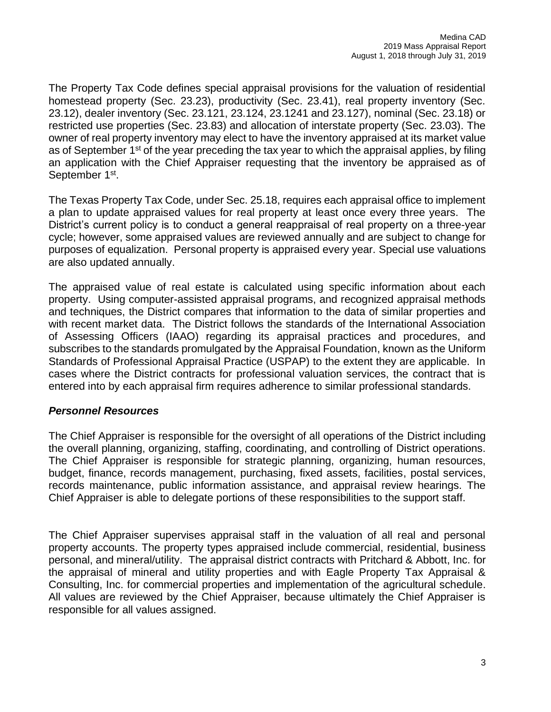The Property Tax Code defines special appraisal provisions for the valuation of residential homestead property (Sec. 23.23), productivity (Sec. 23.41), real property inventory (Sec. 23.12), dealer inventory (Sec. 23.121, 23.124, 23.1241 and 23.127), nominal (Sec. 23.18) or restricted use properties (Sec. 23.83) and allocation of interstate property (Sec. 23.03). The owner of real property inventory may elect to have the inventory appraised at its market value as of September  $1<sup>st</sup>$  of the year preceding the tax year to which the appraisal applies, by filing an application with the Chief Appraiser requesting that the inventory be appraised as of September 1<sup>st</sup>.

The Texas Property Tax Code, under Sec. 25.18, requires each appraisal office to implement a plan to update appraised values for real property at least once every three years. The District's current policy is to conduct a general reappraisal of real property on a three-year cycle; however, some appraised values are reviewed annually and are subject to change for purposes of equalization. Personal property is appraised every year. Special use valuations are also updated annually.

The appraised value of real estate is calculated using specific information about each property. Using computer-assisted appraisal programs, and recognized appraisal methods and techniques, the District compares that information to the data of similar properties and with recent market data. The District follows the standards of the International Association of Assessing Officers (IAAO) regarding its appraisal practices and procedures, and subscribes to the standards promulgated by the Appraisal Foundation, known as the Uniform Standards of Professional Appraisal Practice (USPAP) to the extent they are applicable. In cases where the District contracts for professional valuation services, the contract that is entered into by each appraisal firm requires adherence to similar professional standards.

# *Personnel Resources*

The Chief Appraiser is responsible for the oversight of all operations of the District including the overall planning, organizing, staffing, coordinating, and controlling of District operations. The Chief Appraiser is responsible for strategic planning, organizing, human resources, budget, finance, records management, purchasing, fixed assets, facilities, postal services, records maintenance, public information assistance, and appraisal review hearings. The Chief Appraiser is able to delegate portions of these responsibilities to the support staff.

The Chief Appraiser supervises appraisal staff in the valuation of all real and personal property accounts. The property types appraised include commercial, residential, business personal, and mineral/utility. The appraisal district contracts with Pritchard & Abbott, Inc. for the appraisal of mineral and utility properties and with Eagle Property Tax Appraisal & Consulting, Inc. for commercial properties and implementation of the agricultural schedule. All values are reviewed by the Chief Appraiser, because ultimately the Chief Appraiser is responsible for all values assigned.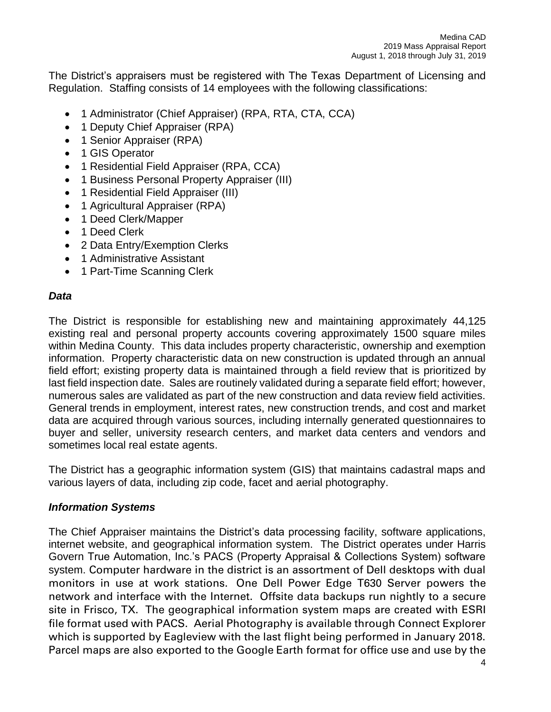The District's appraisers must be registered with The Texas Department of Licensing and Regulation. Staffing consists of 14 employees with the following classifications:

- 1 Administrator (Chief Appraiser) (RPA, RTA, CTA, CCA)
- 1 Deputy Chief Appraiser (RPA)
- 1 Senior Appraiser (RPA)
- 1 GIS Operator
- 1 Residential Field Appraiser (RPA, CCA)
- 1 Business Personal Property Appraiser (III)
- 1 Residential Field Appraiser (III)
- 1 Agricultural Appraiser (RPA)
- 1 Deed Clerk/Mapper
- 1 Deed Clerk
- 2 Data Entry/Exemption Clerks
- 1 Administrative Assistant
- 1 Part-Time Scanning Clerk

# *Data*

The District is responsible for establishing new and maintaining approximately 44,125 existing real and personal property accounts covering approximately 1500 square miles within Medina County. This data includes property characteristic, ownership and exemption information. Property characteristic data on new construction is updated through an annual field effort; existing property data is maintained through a field review that is prioritized by last field inspection date. Sales are routinely validated during a separate field effort; however, numerous sales are validated as part of the new construction and data review field activities. General trends in employment, interest rates, new construction trends, and cost and market data are acquired through various sources, including internally generated questionnaires to buyer and seller, university research centers, and market data centers and vendors and sometimes local real estate agents.

The District has a geographic information system (GIS) that maintains cadastral maps and various layers of data, including zip code, facet and aerial photography.

## *Information Systems*

The Chief Appraiser maintains the District's data processing facility, software applications, internet website, and geographical information system. The District operates under Harris Govern True Automation, Inc.'s PACS (Property Appraisal & Collections System) software system. Computer hardware in the district is an assortment of Dell desktops with dual monitors in use at work stations. One Dell Power Edge T630 Server powers the network and interface with the Internet. Offsite data backups run nightly to a secure site in Frisco, TX. The geographical information system maps are created with ESRI file format used with PACS. Aerial Photography is available through Connect Explorer which is supported by Eagleview with the last flight being performed in January 2018. Parcel maps are also exported to the Google Earth format for office use and use by the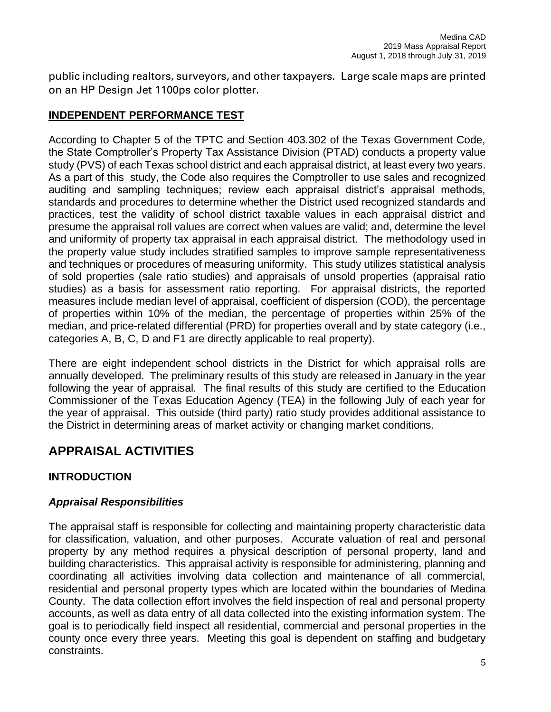public including realtors, surveyors, and other taxpayers. Large scale maps are printed on an HP Design Jet 1100ps color plotter.

# **INDEPENDENT PERFORMANCE TEST**

According to Chapter 5 of the TPTC and Section 403.302 of the Texas Government Code, the State Comptroller's Property Tax Assistance Division (PTAD) conducts a property value study (PVS) of each Texas school district and each appraisal district, at least every two years. As a part of this study, the Code also requires the Comptroller to use sales and recognized auditing and sampling techniques; review each appraisal district's appraisal methods, standards and procedures to determine whether the District used recognized standards and practices, test the validity of school district taxable values in each appraisal district and presume the appraisal roll values are correct when values are valid; and, determine the level and uniformity of property tax appraisal in each appraisal district. The methodology used in the property value study includes stratified samples to improve sample representativeness and techniques or procedures of measuring uniformity. This study utilizes statistical analysis of sold properties (sale ratio studies) and appraisals of unsold properties (appraisal ratio studies) as a basis for assessment ratio reporting. For appraisal districts, the reported measures include median level of appraisal, coefficient of dispersion (COD), the percentage of properties within 10% of the median, the percentage of properties within 25% of the median, and price-related differential (PRD) for properties overall and by state category (i.e., categories A, B, C, D and F1 are directly applicable to real property).

There are eight independent school districts in the District for which appraisal rolls are annually developed. The preliminary results of this study are released in January in the year following the year of appraisal. The final results of this study are certified to the Education Commissioner of the Texas Education Agency (TEA) in the following July of each year for the year of appraisal. This outside (third party) ratio study provides additional assistance to the District in determining areas of market activity or changing market conditions.

# **APPRAISAL ACTIVITIES**

# **INTRODUCTION**

# *Appraisal Responsibilities*

The appraisal staff is responsible for collecting and maintaining property characteristic data for classification, valuation, and other purposes. Accurate valuation of real and personal property by any method requires a physical description of personal property, land and building characteristics. This appraisal activity is responsible for administering, planning and coordinating all activities involving data collection and maintenance of all commercial, residential and personal property types which are located within the boundaries of Medina County. The data collection effort involves the field inspection of real and personal property accounts, as well as data entry of all data collected into the existing information system. The goal is to periodically field inspect all residential, commercial and personal properties in the county once every three years. Meeting this goal is dependent on staffing and budgetary constraints.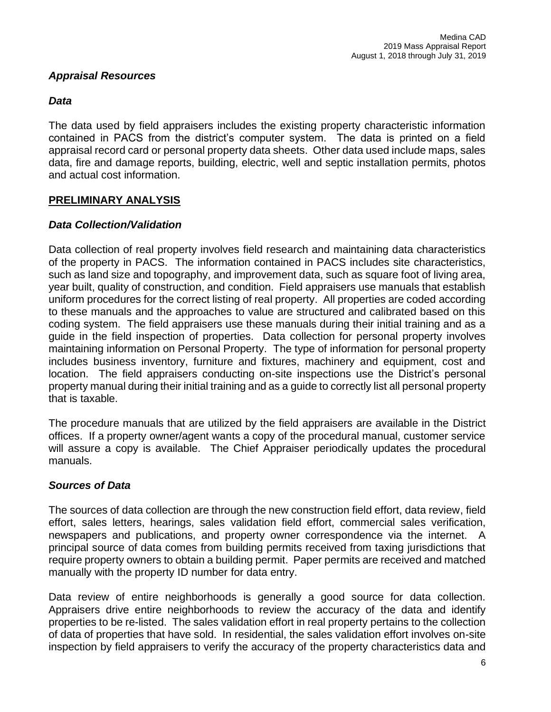# *Appraisal Resources*

# *Data*

The data used by field appraisers includes the existing property characteristic information contained in PACS from the district's computer system. The data is printed on a field appraisal record card or personal property data sheets. Other data used include maps, sales data, fire and damage reports, building, electric, well and septic installation permits, photos and actual cost information.

# **PRELIMINARY ANALYSIS**

# *Data Collection/Validation*

Data collection of real property involves field research and maintaining data characteristics of the property in PACS. The information contained in PACS includes site characteristics, such as land size and topography, and improvement data, such as square foot of living area, year built, quality of construction, and condition. Field appraisers use manuals that establish uniform procedures for the correct listing of real property. All properties are coded according to these manuals and the approaches to value are structured and calibrated based on this coding system. The field appraisers use these manuals during their initial training and as a guide in the field inspection of properties. Data collection for personal property involves maintaining information on Personal Property. The type of information for personal property includes business inventory, furniture and fixtures, machinery and equipment, cost and location. The field appraisers conducting on-site inspections use the District's personal property manual during their initial training and as a guide to correctly list all personal property that is taxable.

The procedure manuals that are utilized by the field appraisers are available in the District offices. If a property owner/agent wants a copy of the procedural manual, customer service will assure a copy is available. The Chief Appraiser periodically updates the procedural manuals.

# *Sources of Data*

The sources of data collection are through the new construction field effort, data review, field effort, sales letters, hearings, sales validation field effort, commercial sales verification, newspapers and publications, and property owner correspondence via the internet. A principal source of data comes from building permits received from taxing jurisdictions that require property owners to obtain a building permit. Paper permits are received and matched manually with the property ID number for data entry.

Data review of entire neighborhoods is generally a good source for data collection. Appraisers drive entire neighborhoods to review the accuracy of the data and identify properties to be re-listed. The sales validation effort in real property pertains to the collection of data of properties that have sold. In residential, the sales validation effort involves on-site inspection by field appraisers to verify the accuracy of the property characteristics data and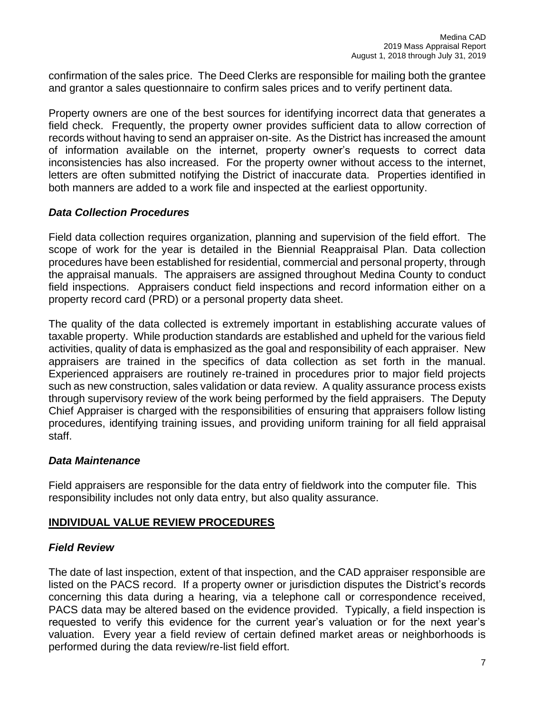confirmation of the sales price. The Deed Clerks are responsible for mailing both the grantee and grantor a sales questionnaire to confirm sales prices and to verify pertinent data.

Property owners are one of the best sources for identifying incorrect data that generates a field check. Frequently, the property owner provides sufficient data to allow correction of records without having to send an appraiser on-site. As the District has increased the amount of information available on the internet, property owner's requests to correct data inconsistencies has also increased. For the property owner without access to the internet, letters are often submitted notifying the District of inaccurate data. Properties identified in both manners are added to a work file and inspected at the earliest opportunity.

# *Data Collection Procedures*

Field data collection requires organization, planning and supervision of the field effort. The scope of work for the year is detailed in the Biennial Reappraisal Plan. Data collection procedures have been established for residential, commercial and personal property, through the appraisal manuals. The appraisers are assigned throughout Medina County to conduct field inspections. Appraisers conduct field inspections and record information either on a property record card (PRD) or a personal property data sheet.

The quality of the data collected is extremely important in establishing accurate values of taxable property. While production standards are established and upheld for the various field activities, quality of data is emphasized as the goal and responsibility of each appraiser. New appraisers are trained in the specifics of data collection as set forth in the manual. Experienced appraisers are routinely re-trained in procedures prior to major field projects such as new construction, sales validation or data review. A quality assurance process exists through supervisory review of the work being performed by the field appraisers. The Deputy Chief Appraiser is charged with the responsibilities of ensuring that appraisers follow listing procedures, identifying training issues, and providing uniform training for all field appraisal staff.

## *Data Maintenance*

Field appraisers are responsible for the data entry of fieldwork into the computer file. This responsibility includes not only data entry, but also quality assurance.

# **INDIVIDUAL VALUE REVIEW PROCEDURES**

## *Field Review*

The date of last inspection, extent of that inspection, and the CAD appraiser responsible are listed on the PACS record. If a property owner or jurisdiction disputes the District's records concerning this data during a hearing, via a telephone call or correspondence received, PACS data may be altered based on the evidence provided. Typically, a field inspection is requested to verify this evidence for the current year's valuation or for the next year's valuation. Every year a field review of certain defined market areas or neighborhoods is performed during the data review/re-list field effort.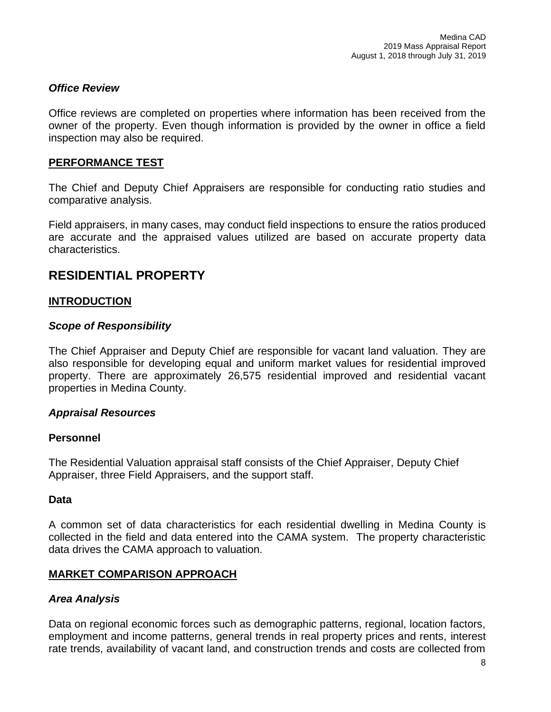# *Office Review*

Office reviews are completed on properties where information has been received from the owner of the property. Even though information is provided by the owner in office a field inspection may also be required.

## **PERFORMANCE TEST**

The Chief and Deputy Chief Appraisers are responsible for conducting ratio studies and comparative analysis.

Field appraisers, in many cases, may conduct field inspections to ensure the ratios produced are accurate and the appraised values utilized are based on accurate property data characteristics.

# **RESIDENTIAL PROPERTY**

# **INTRODUCTION**

## *Scope of Responsibility*

The Chief Appraiser and Deputy Chief are responsible for vacant land valuation. They are also responsible for developing equal and uniform market values for residential improved property. There are approximately 26,575 residential improved and residential vacant properties in Medina County.

## *Appraisal Resources*

## **Personnel**

The Residential Valuation appraisal staff consists of the Chief Appraiser, Deputy Chief Appraiser, three Field Appraisers, and the support staff.

## **Data**

A common set of data characteristics for each residential dwelling in Medina County is collected in the field and data entered into the CAMA system. The property characteristic data drives the CAMA approach to valuation.

## **MARKET COMPARISON APPROACH**

## *Area Analysis*

Data on regional economic forces such as demographic patterns, regional, location factors, employment and income patterns, general trends in real property prices and rents, interest rate trends, availability of vacant land, and construction trends and costs are collected from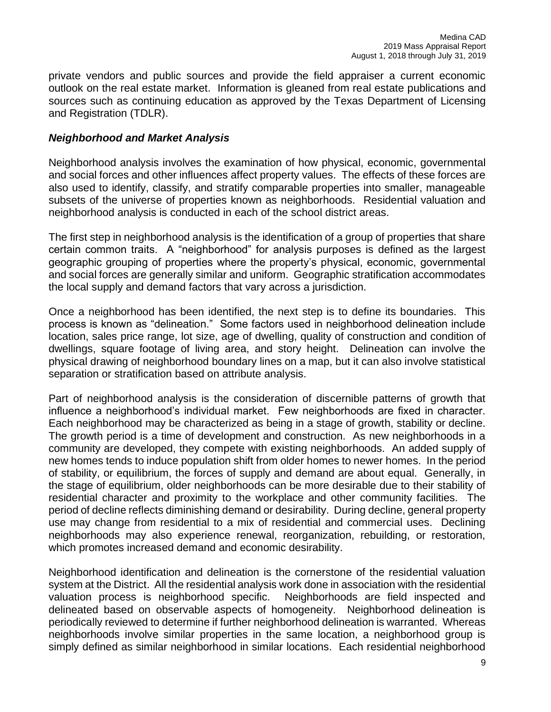private vendors and public sources and provide the field appraiser a current economic outlook on the real estate market. Information is gleaned from real estate publications and sources such as continuing education as approved by the Texas Department of Licensing and Registration (TDLR).

## *Neighborhood and Market Analysis*

Neighborhood analysis involves the examination of how physical, economic, governmental and social forces and other influences affect property values. The effects of these forces are also used to identify, classify, and stratify comparable properties into smaller, manageable subsets of the universe of properties known as neighborhoods. Residential valuation and neighborhood analysis is conducted in each of the school district areas.

The first step in neighborhood analysis is the identification of a group of properties that share certain common traits. A "neighborhood" for analysis purposes is defined as the largest geographic grouping of properties where the property's physical, economic, governmental and social forces are generally similar and uniform. Geographic stratification accommodates the local supply and demand factors that vary across a jurisdiction.

Once a neighborhood has been identified, the next step is to define its boundaries. This process is known as "delineation." Some factors used in neighborhood delineation include location, sales price range, lot size, age of dwelling, quality of construction and condition of dwellings, square footage of living area, and story height. Delineation can involve the physical drawing of neighborhood boundary lines on a map, but it can also involve statistical separation or stratification based on attribute analysis.

Part of neighborhood analysis is the consideration of discernible patterns of growth that influence a neighborhood's individual market. Few neighborhoods are fixed in character. Each neighborhood may be characterized as being in a stage of growth, stability or decline. The growth period is a time of development and construction. As new neighborhoods in a community are developed, they compete with existing neighborhoods. An added supply of new homes tends to induce population shift from older homes to newer homes. In the period of stability, or equilibrium, the forces of supply and demand are about equal. Generally, in the stage of equilibrium, older neighborhoods can be more desirable due to their stability of residential character and proximity to the workplace and other community facilities. The period of decline reflects diminishing demand or desirability. During decline, general property use may change from residential to a mix of residential and commercial uses. Declining neighborhoods may also experience renewal, reorganization, rebuilding, or restoration, which promotes increased demand and economic desirability.

Neighborhood identification and delineation is the cornerstone of the residential valuation system at the District. All the residential analysis work done in association with the residential valuation process is neighborhood specific. Neighborhoods are field inspected and delineated based on observable aspects of homogeneity. Neighborhood delineation is periodically reviewed to determine if further neighborhood delineation is warranted. Whereas neighborhoods involve similar properties in the same location, a neighborhood group is simply defined as similar neighborhood in similar locations. Each residential neighborhood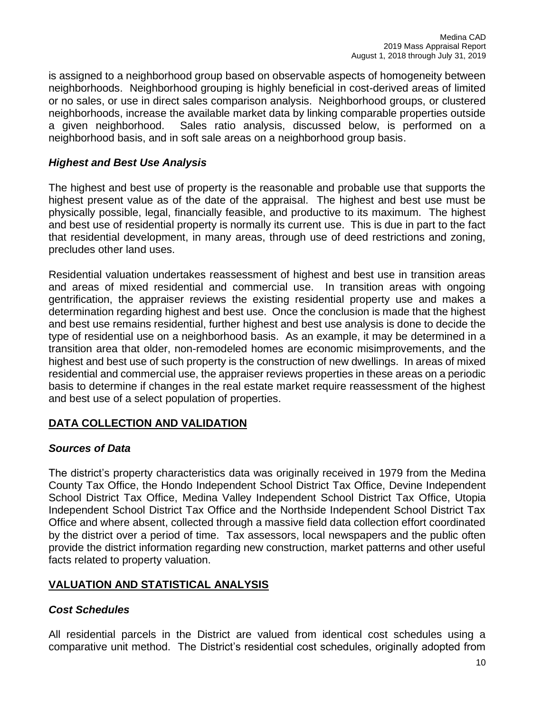is assigned to a neighborhood group based on observable aspects of homogeneity between neighborhoods. Neighborhood grouping is highly beneficial in cost-derived areas of limited or no sales, or use in direct sales comparison analysis. Neighborhood groups, or clustered neighborhoods, increase the available market data by linking comparable properties outside a given neighborhood. Sales ratio analysis, discussed below, is performed on a neighborhood basis, and in soft sale areas on a neighborhood group basis.

# *Highest and Best Use Analysis*

The highest and best use of property is the reasonable and probable use that supports the highest present value as of the date of the appraisal. The highest and best use must be physically possible, legal, financially feasible, and productive to its maximum. The highest and best use of residential property is normally its current use. This is due in part to the fact that residential development, in many areas, through use of deed restrictions and zoning, precludes other land uses.

Residential valuation undertakes reassessment of highest and best use in transition areas and areas of mixed residential and commercial use. In transition areas with ongoing gentrification, the appraiser reviews the existing residential property use and makes a determination regarding highest and best use. Once the conclusion is made that the highest and best use remains residential, further highest and best use analysis is done to decide the type of residential use on a neighborhood basis. As an example, it may be determined in a transition area that older, non-remodeled homes are economic misimprovements, and the highest and best use of such property is the construction of new dwellings. In areas of mixed residential and commercial use, the appraiser reviews properties in these areas on a periodic basis to determine if changes in the real estate market require reassessment of the highest and best use of a select population of properties.

# **DATA COLLECTION AND VALIDATION**

## *Sources of Data*

The district's property characteristics data was originally received in 1979 from the Medina County Tax Office, the Hondo Independent School District Tax Office, Devine Independent School District Tax Office, Medina Valley Independent School District Tax Office, Utopia Independent School District Tax Office and the Northside Independent School District Tax Office and where absent, collected through a massive field data collection effort coordinated by the district over a period of time. Tax assessors, local newspapers and the public often provide the district information regarding new construction, market patterns and other useful facts related to property valuation.

## **VALUATION AND STATISTICAL ANALYSIS**

## *Cost Schedules*

All residential parcels in the District are valued from identical cost schedules using a comparative unit method. The District's residential cost schedules, originally adopted from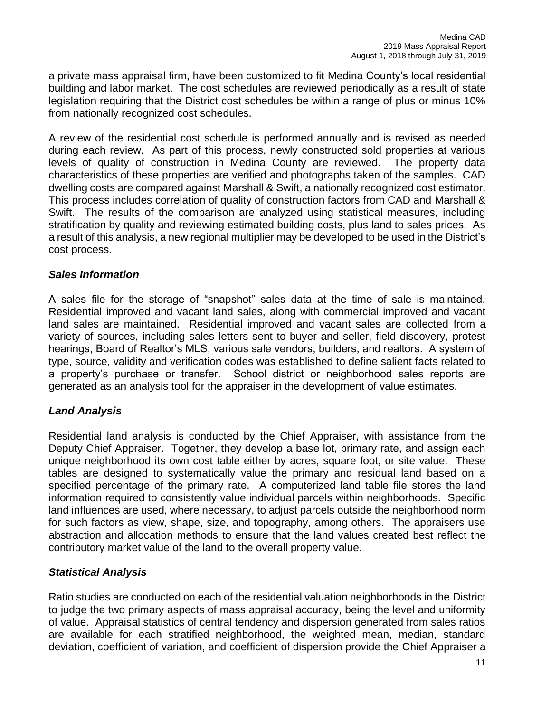a private mass appraisal firm, have been customized to fit Medina County's local residential building and labor market. The cost schedules are reviewed periodically as a result of state legislation requiring that the District cost schedules be within a range of plus or minus 10% from nationally recognized cost schedules.

A review of the residential cost schedule is performed annually and is revised as needed during each review. As part of this process, newly constructed sold properties at various levels of quality of construction in Medina County are reviewed. The property data characteristics of these properties are verified and photographs taken of the samples. CAD dwelling costs are compared against Marshall & Swift, a nationally recognized cost estimator. This process includes correlation of quality of construction factors from CAD and Marshall & Swift. The results of the comparison are analyzed using statistical measures, including stratification by quality and reviewing estimated building costs, plus land to sales prices. As a result of this analysis, a new regional multiplier may be developed to be used in the District's cost process.

## *Sales Information*

A sales file for the storage of "snapshot" sales data at the time of sale is maintained. Residential improved and vacant land sales, along with commercial improved and vacant land sales are maintained. Residential improved and vacant sales are collected from a variety of sources, including sales letters sent to buyer and seller, field discovery, protest hearings, Board of Realtor's MLS, various sale vendors, builders, and realtors. A system of type, source, validity and verification codes was established to define salient facts related to a property's purchase or transfer. School district or neighborhood sales reports are generated as an analysis tool for the appraiser in the development of value estimates.

# *Land Analysis*

Residential land analysis is conducted by the Chief Appraiser, with assistance from the Deputy Chief Appraiser. Together, they develop a base lot, primary rate, and assign each unique neighborhood its own cost table either by acres, square foot, or site value. These tables are designed to systematically value the primary and residual land based on a specified percentage of the primary rate. A computerized land table file stores the land information required to consistently value individual parcels within neighborhoods. Specific land influences are used, where necessary, to adjust parcels outside the neighborhood norm for such factors as view, shape, size, and topography, among others. The appraisers use abstraction and allocation methods to ensure that the land values created best reflect the contributory market value of the land to the overall property value.

# *Statistical Analysis*

Ratio studies are conducted on each of the residential valuation neighborhoods in the District to judge the two primary aspects of mass appraisal accuracy, being the level and uniformity of value. Appraisal statistics of central tendency and dispersion generated from sales ratios are available for each stratified neighborhood, the weighted mean, median, standard deviation, coefficient of variation, and coefficient of dispersion provide the Chief Appraiser a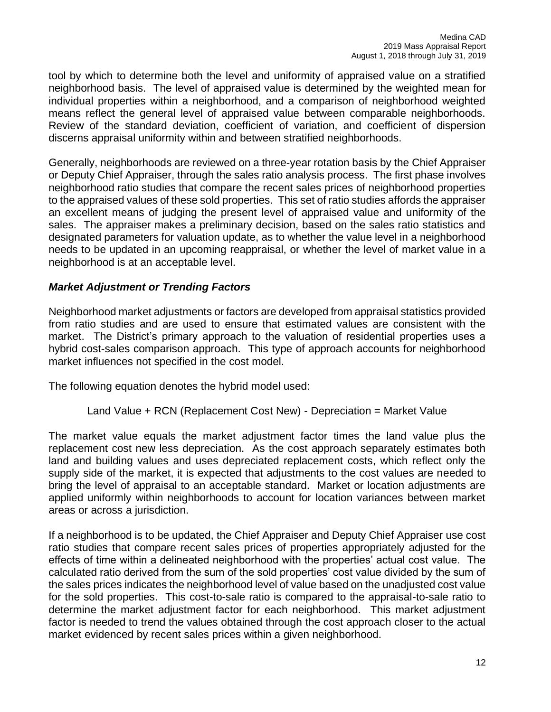tool by which to determine both the level and uniformity of appraised value on a stratified neighborhood basis. The level of appraised value is determined by the weighted mean for individual properties within a neighborhood, and a comparison of neighborhood weighted means reflect the general level of appraised value between comparable neighborhoods. Review of the standard deviation, coefficient of variation, and coefficient of dispersion discerns appraisal uniformity within and between stratified neighborhoods.

Generally, neighborhoods are reviewed on a three-year rotation basis by the Chief Appraiser or Deputy Chief Appraiser, through the sales ratio analysis process. The first phase involves neighborhood ratio studies that compare the recent sales prices of neighborhood properties to the appraised values of these sold properties. This set of ratio studies affords the appraiser an excellent means of judging the present level of appraised value and uniformity of the sales. The appraiser makes a preliminary decision, based on the sales ratio statistics and designated parameters for valuation update, as to whether the value level in a neighborhood needs to be updated in an upcoming reappraisal, or whether the level of market value in a neighborhood is at an acceptable level.

# *Market Adjustment or Trending Factors*

Neighborhood market adjustments or factors are developed from appraisal statistics provided from ratio studies and are used to ensure that estimated values are consistent with the market. The District's primary approach to the valuation of residential properties uses a hybrid cost-sales comparison approach. This type of approach accounts for neighborhood market influences not specified in the cost model.

The following equation denotes the hybrid model used:

## Land Value + RCN (Replacement Cost New) - Depreciation = Market Value

The market value equals the market adjustment factor times the land value plus the replacement cost new less depreciation. As the cost approach separately estimates both land and building values and uses depreciated replacement costs, which reflect only the supply side of the market, it is expected that adjustments to the cost values are needed to bring the level of appraisal to an acceptable standard. Market or location adjustments are applied uniformly within neighborhoods to account for location variances between market areas or across a jurisdiction.

If a neighborhood is to be updated, the Chief Appraiser and Deputy Chief Appraiser use cost ratio studies that compare recent sales prices of properties appropriately adjusted for the effects of time within a delineated neighborhood with the properties' actual cost value. The calculated ratio derived from the sum of the sold properties' cost value divided by the sum of the sales prices indicates the neighborhood level of value based on the unadjusted cost value for the sold properties. This cost-to-sale ratio is compared to the appraisal-to-sale ratio to determine the market adjustment factor for each neighborhood. This market adjustment factor is needed to trend the values obtained through the cost approach closer to the actual market evidenced by recent sales prices within a given neighborhood.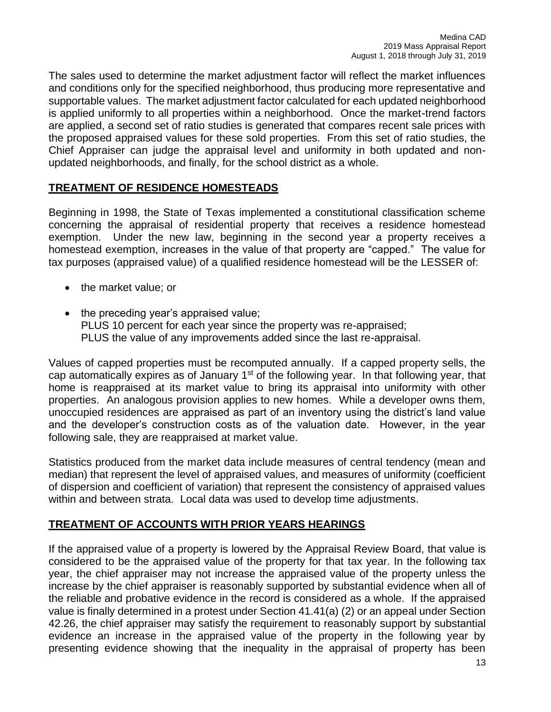The sales used to determine the market adjustment factor will reflect the market influences and conditions only for the specified neighborhood, thus producing more representative and supportable values. The market adjustment factor calculated for each updated neighborhood is applied uniformly to all properties within a neighborhood. Once the market-trend factors are applied, a second set of ratio studies is generated that compares recent sale prices with the proposed appraised values for these sold properties. From this set of ratio studies, the Chief Appraiser can judge the appraisal level and uniformity in both updated and nonupdated neighborhoods, and finally, for the school district as a whole.

# **TREATMENT OF RESIDENCE HOMESTEADS**

Beginning in 1998, the State of Texas implemented a constitutional classification scheme concerning the appraisal of residential property that receives a residence homestead exemption. Under the new law, beginning in the second year a property receives a homestead exemption, increases in the value of that property are "capped." The value for tax purposes (appraised value) of a qualified residence homestead will be the LESSER of:

- the market value; or
- the preceding year's appraised value; PLUS 10 percent for each year since the property was re-appraised; PLUS the value of any improvements added since the last re-appraisal.

Values of capped properties must be recomputed annually. If a capped property sells, the cap automatically expires as of January  $1<sup>st</sup>$  of the following year. In that following year, that home is reappraised at its market value to bring its appraisal into uniformity with other properties. An analogous provision applies to new homes. While a developer owns them, unoccupied residences are appraised as part of an inventory using the district's land value and the developer's construction costs as of the valuation date. However, in the year following sale, they are reappraised at market value.

Statistics produced from the market data include measures of central tendency (mean and median) that represent the level of appraised values, and measures of uniformity (coefficient of dispersion and coefficient of variation) that represent the consistency of appraised values within and between strata. Local data was used to develop time adjustments.

# **TREATMENT OF ACCOUNTS WITH PRIOR YEARS HEARINGS**

If the appraised value of a property is lowered by the Appraisal Review Board, that value is considered to be the appraised value of the property for that tax year. In the following tax year, the chief appraiser may not increase the appraised value of the property unless the increase by the chief appraiser is reasonably supported by substantial evidence when all of the reliable and probative evidence in the record is considered as a whole. If the appraised value is finally determined in a protest under Section 41.41(a) (2) or an appeal under Section 42.26, the chief appraiser may satisfy the requirement to reasonably support by substantial evidence an increase in the appraised value of the property in the following year by presenting evidence showing that the inequality in the appraisal of property has been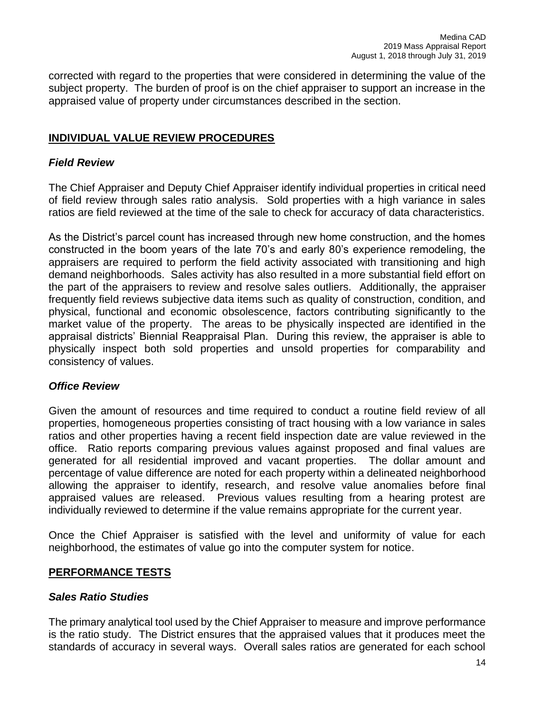corrected with regard to the properties that were considered in determining the value of the subject property. The burden of proof is on the chief appraiser to support an increase in the appraised value of property under circumstances described in the section.

# **INDIVIDUAL VALUE REVIEW PROCEDURES**

## *Field Review*

The Chief Appraiser and Deputy Chief Appraiser identify individual properties in critical need of field review through sales ratio analysis. Sold properties with a high variance in sales ratios are field reviewed at the time of the sale to check for accuracy of data characteristics.

As the District's parcel count has increased through new home construction, and the homes constructed in the boom years of the late 70's and early 80's experience remodeling, the appraisers are required to perform the field activity associated with transitioning and high demand neighborhoods. Sales activity has also resulted in a more substantial field effort on the part of the appraisers to review and resolve sales outliers. Additionally, the appraiser frequently field reviews subjective data items such as quality of construction, condition, and physical, functional and economic obsolescence, factors contributing significantly to the market value of the property. The areas to be physically inspected are identified in the appraisal districts' Biennial Reappraisal Plan. During this review, the appraiser is able to physically inspect both sold properties and unsold properties for comparability and consistency of values.

## *Office Review*

Given the amount of resources and time required to conduct a routine field review of all properties, homogeneous properties consisting of tract housing with a low variance in sales ratios and other properties having a recent field inspection date are value reviewed in the office. Ratio reports comparing previous values against proposed and final values are generated for all residential improved and vacant properties. The dollar amount and percentage of value difference are noted for each property within a delineated neighborhood allowing the appraiser to identify, research, and resolve value anomalies before final appraised values are released. Previous values resulting from a hearing protest are individually reviewed to determine if the value remains appropriate for the current year.

Once the Chief Appraiser is satisfied with the level and uniformity of value for each neighborhood, the estimates of value go into the computer system for notice.

## **PERFORMANCE TESTS**

#### *Sales Ratio Studies*

The primary analytical tool used by the Chief Appraiser to measure and improve performance is the ratio study. The District ensures that the appraised values that it produces meet the standards of accuracy in several ways. Overall sales ratios are generated for each school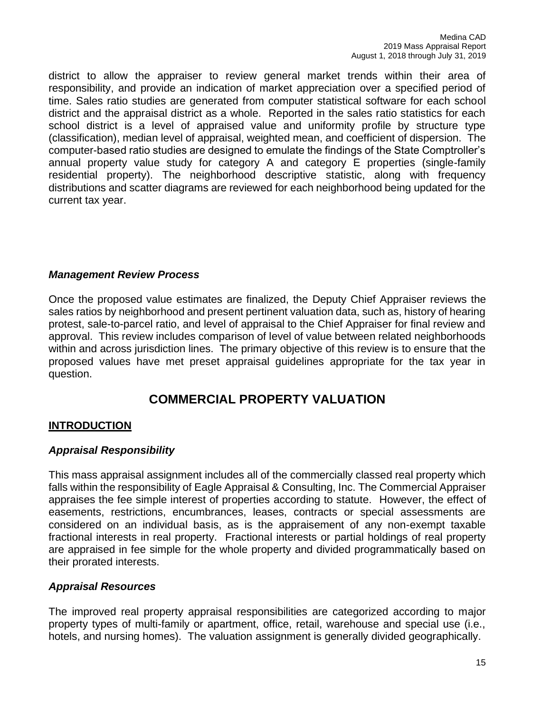district to allow the appraiser to review general market trends within their area of responsibility, and provide an indication of market appreciation over a specified period of time. Sales ratio studies are generated from computer statistical software for each school district and the appraisal district as a whole. Reported in the sales ratio statistics for each school district is a level of appraised value and uniformity profile by structure type (classification), median level of appraisal, weighted mean, and coefficient of dispersion. The computer-based ratio studies are designed to emulate the findings of the State Comptroller's annual property value study for category A and category E properties (single-family residential property). The neighborhood descriptive statistic, along with frequency distributions and scatter diagrams are reviewed for each neighborhood being updated for the current tax year.

# *Management Review Process*

Once the proposed value estimates are finalized, the Deputy Chief Appraiser reviews the sales ratios by neighborhood and present pertinent valuation data, such as, history of hearing protest, sale-to-parcel ratio, and level of appraisal to the Chief Appraiser for final review and approval. This review includes comparison of level of value between related neighborhoods within and across jurisdiction lines. The primary objective of this review is to ensure that the proposed values have met preset appraisal guidelines appropriate for the tax year in question.

# **COMMERCIAL PROPERTY VALUATION**

# **INTRODUCTION**

# *Appraisal Responsibility*

This mass appraisal assignment includes all of the commercially classed real property which falls within the responsibility of Eagle Appraisal & Consulting, Inc. The Commercial Appraiser appraises the fee simple interest of properties according to statute. However, the effect of easements, restrictions, encumbrances, leases, contracts or special assessments are considered on an individual basis, as is the appraisement of any non-exempt taxable fractional interests in real property. Fractional interests or partial holdings of real property are appraised in fee simple for the whole property and divided programmatically based on their prorated interests.

## *Appraisal Resources*

The improved real property appraisal responsibilities are categorized according to major property types of multi-family or apartment, office, retail, warehouse and special use (i.e., hotels, and nursing homes). The valuation assignment is generally divided geographically.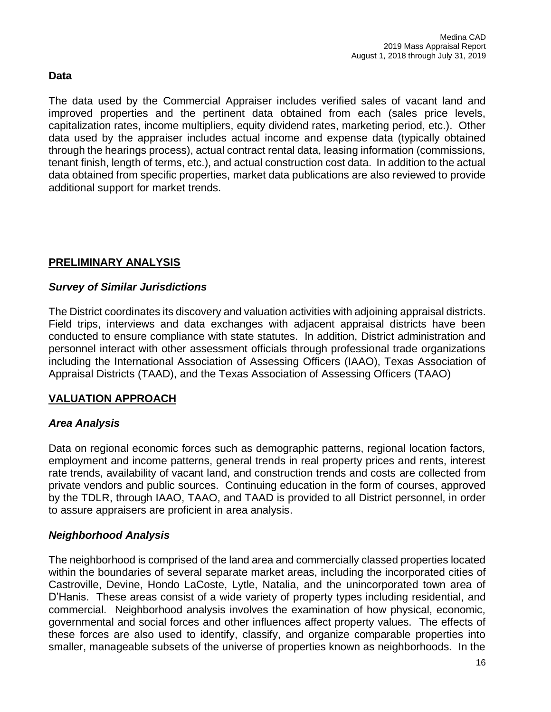# **Data**

The data used by the Commercial Appraiser includes verified sales of vacant land and improved properties and the pertinent data obtained from each (sales price levels, capitalization rates, income multipliers, equity dividend rates, marketing period, etc.). Other data used by the appraiser includes actual income and expense data (typically obtained through the hearings process), actual contract rental data, leasing information (commissions, tenant finish, length of terms, etc.), and actual construction cost data. In addition to the actual data obtained from specific properties, market data publications are also reviewed to provide additional support for market trends.

# **PRELIMINARY ANALYSIS**

# *Survey of Similar Jurisdictions*

The District coordinates its discovery and valuation activities with adjoining appraisal districts. Field trips, interviews and data exchanges with adjacent appraisal districts have been conducted to ensure compliance with state statutes. In addition, District administration and personnel interact with other assessment officials through professional trade organizations including the International Association of Assessing Officers (IAAO), Texas Association of Appraisal Districts (TAAD), and the Texas Association of Assessing Officers (TAAO)

# **VALUATION APPROACH**

# *Area Analysis*

Data on regional economic forces such as demographic patterns, regional location factors, employment and income patterns, general trends in real property prices and rents, interest rate trends, availability of vacant land, and construction trends and costs are collected from private vendors and public sources. Continuing education in the form of courses, approved by the TDLR, through IAAO, TAAO, and TAAD is provided to all District personnel, in order to assure appraisers are proficient in area analysis.

# *Neighborhood Analysis*

The neighborhood is comprised of the land area and commercially classed properties located within the boundaries of several separate market areas, including the incorporated cities of Castroville, Devine, Hondo LaCoste, Lytle, Natalia, and the unincorporated town area of D'Hanis. These areas consist of a wide variety of property types including residential, and commercial. Neighborhood analysis involves the examination of how physical, economic, governmental and social forces and other influences affect property values. The effects of these forces are also used to identify, classify, and organize comparable properties into smaller, manageable subsets of the universe of properties known as neighborhoods. In the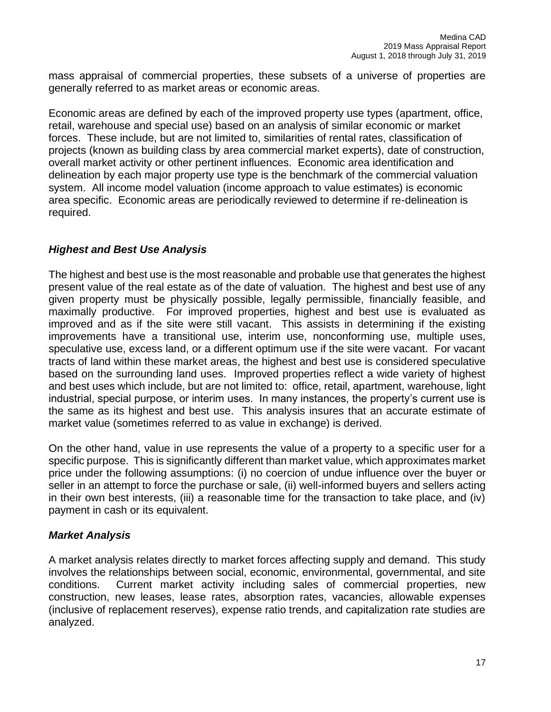mass appraisal of commercial properties, these subsets of a universe of properties are generally referred to as market areas or economic areas.

Economic areas are defined by each of the improved property use types (apartment, office, retail, warehouse and special use) based on an analysis of similar economic or market forces. These include, but are not limited to, similarities of rental rates, classification of projects (known as building class by area commercial market experts), date of construction, overall market activity or other pertinent influences. Economic area identification and delineation by each major property use type is the benchmark of the commercial valuation system. All income model valuation (income approach to value estimates) is economic area specific. Economic areas are periodically reviewed to determine if re-delineation is required.

# *Highest and Best Use Analysis*

The highest and best use is the most reasonable and probable use that generates the highest present value of the real estate as of the date of valuation. The highest and best use of any given property must be physically possible, legally permissible, financially feasible, and maximally productive. For improved properties, highest and best use is evaluated as improved and as if the site were still vacant. This assists in determining if the existing improvements have a transitional use, interim use, nonconforming use, multiple uses, speculative use, excess land, or a different optimum use if the site were vacant. For vacant tracts of land within these market areas, the highest and best use is considered speculative based on the surrounding land uses. Improved properties reflect a wide variety of highest and best uses which include, but are not limited to: office, retail, apartment, warehouse, light industrial, special purpose, or interim uses. In many instances, the property's current use is the same as its highest and best use. This analysis insures that an accurate estimate of market value (sometimes referred to as value in exchange) is derived.

On the other hand, value in use represents the value of a property to a specific user for a specific purpose. This is significantly different than market value, which approximates market price under the following assumptions: (i) no coercion of undue influence over the buyer or seller in an attempt to force the purchase or sale, (ii) well-informed buyers and sellers acting in their own best interests, (iii) a reasonable time for the transaction to take place, and (iv) payment in cash or its equivalent.

# *Market Analysis*

A market analysis relates directly to market forces affecting supply and demand. This study involves the relationships between social, economic, environmental, governmental, and site conditions. Current market activity including sales of commercial properties, new construction, new leases, lease rates, absorption rates, vacancies, allowable expenses (inclusive of replacement reserves), expense ratio trends, and capitalization rate studies are analyzed.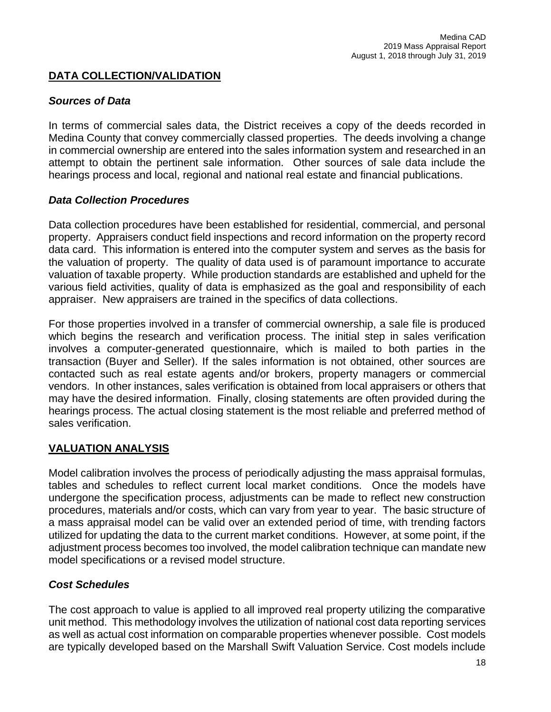# **DATA COLLECTION/VALIDATION**

## *Sources of Data*

In terms of commercial sales data, the District receives a copy of the deeds recorded in Medina County that convey commercially classed properties. The deeds involving a change in commercial ownership are entered into the sales information system and researched in an attempt to obtain the pertinent sale information. Other sources of sale data include the hearings process and local, regional and national real estate and financial publications.

## *Data Collection Procedures*

Data collection procedures have been established for residential, commercial, and personal property. Appraisers conduct field inspections and record information on the property record data card. This information is entered into the computer system and serves as the basis for the valuation of property. The quality of data used is of paramount importance to accurate valuation of taxable property. While production standards are established and upheld for the various field activities, quality of data is emphasized as the goal and responsibility of each appraiser. New appraisers are trained in the specifics of data collections.

For those properties involved in a transfer of commercial ownership, a sale file is produced which begins the research and verification process. The initial step in sales verification involves a computer-generated questionnaire, which is mailed to both parties in the transaction (Buyer and Seller). If the sales information is not obtained, other sources are contacted such as real estate agents and/or brokers, property managers or commercial vendors. In other instances, sales verification is obtained from local appraisers or others that may have the desired information. Finally, closing statements are often provided during the hearings process. The actual closing statement is the most reliable and preferred method of sales verification.

# **VALUATION ANALYSIS**

Model calibration involves the process of periodically adjusting the mass appraisal formulas, tables and schedules to reflect current local market conditions. Once the models have undergone the specification process, adjustments can be made to reflect new construction procedures, materials and/or costs, which can vary from year to year. The basic structure of a mass appraisal model can be valid over an extended period of time, with trending factors utilized for updating the data to the current market conditions. However, at some point, if the adjustment process becomes too involved, the model calibration technique can mandate new model specifications or a revised model structure.

# *Cost Schedules*

The cost approach to value is applied to all improved real property utilizing the comparative unit method. This methodology involves the utilization of national cost data reporting services as well as actual cost information on comparable properties whenever possible. Cost models are typically developed based on the Marshall Swift Valuation Service. Cost models include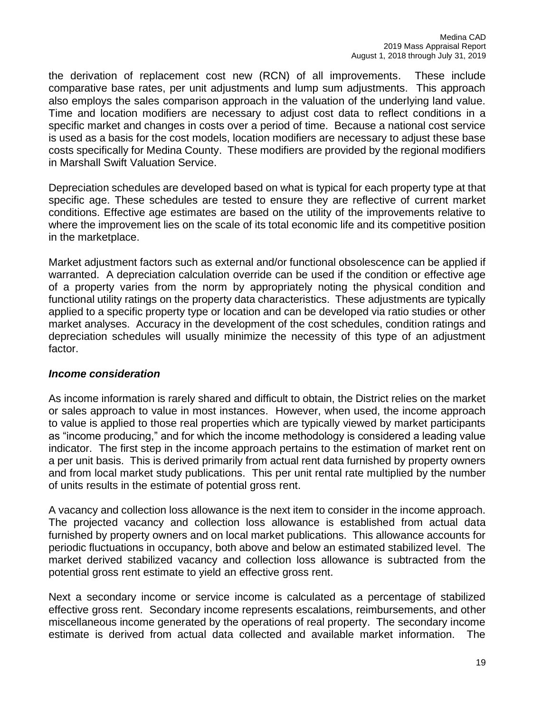the derivation of replacement cost new (RCN) of all improvements. These include comparative base rates, per unit adjustments and lump sum adjustments. This approach also employs the sales comparison approach in the valuation of the underlying land value. Time and location modifiers are necessary to adjust cost data to reflect conditions in a specific market and changes in costs over a period of time. Because a national cost service is used as a basis for the cost models, location modifiers are necessary to adjust these base costs specifically for Medina County. These modifiers are provided by the regional modifiers in Marshall Swift Valuation Service.

Depreciation schedules are developed based on what is typical for each property type at that specific age. These schedules are tested to ensure they are reflective of current market conditions. Effective age estimates are based on the utility of the improvements relative to where the improvement lies on the scale of its total economic life and its competitive position in the marketplace.

Market adjustment factors such as external and/or functional obsolescence can be applied if warranted. A depreciation calculation override can be used if the condition or effective age of a property varies from the norm by appropriately noting the physical condition and functional utility ratings on the property data characteristics. These adjustments are typically applied to a specific property type or location and can be developed via ratio studies or other market analyses. Accuracy in the development of the cost schedules, condition ratings and depreciation schedules will usually minimize the necessity of this type of an adjustment factor.

#### *Income consideration*

As income information is rarely shared and difficult to obtain, the District relies on the market or sales approach to value in most instances. However, when used, the income approach to value is applied to those real properties which are typically viewed by market participants as "income producing," and for which the income methodology is considered a leading value indicator. The first step in the income approach pertains to the estimation of market rent on a per unit basis. This is derived primarily from actual rent data furnished by property owners and from local market study publications. This per unit rental rate multiplied by the number of units results in the estimate of potential gross rent.

A vacancy and collection loss allowance is the next item to consider in the income approach. The projected vacancy and collection loss allowance is established from actual data furnished by property owners and on local market publications. This allowance accounts for periodic fluctuations in occupancy, both above and below an estimated stabilized level. The market derived stabilized vacancy and collection loss allowance is subtracted from the potential gross rent estimate to yield an effective gross rent.

Next a secondary income or service income is calculated as a percentage of stabilized effective gross rent. Secondary income represents escalations, reimbursements, and other miscellaneous income generated by the operations of real property. The secondary income estimate is derived from actual data collected and available market information. The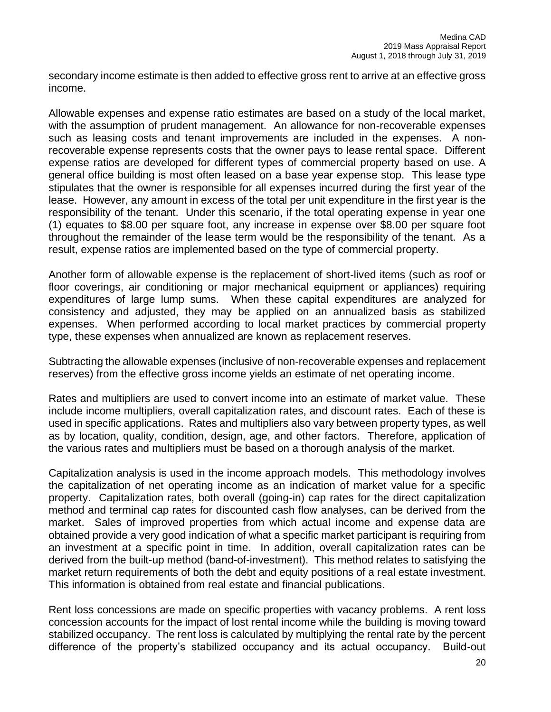secondary income estimate is then added to effective gross rent to arrive at an effective gross income.

Allowable expenses and expense ratio estimates are based on a study of the local market, with the assumption of prudent management. An allowance for non-recoverable expenses such as leasing costs and tenant improvements are included in the expenses. A nonrecoverable expense represents costs that the owner pays to lease rental space. Different expense ratios are developed for different types of commercial property based on use. A general office building is most often leased on a base year expense stop. This lease type stipulates that the owner is responsible for all expenses incurred during the first year of the lease. However, any amount in excess of the total per unit expenditure in the first year is the responsibility of the tenant. Under this scenario, if the total operating expense in year one (1) equates to \$8.00 per square foot, any increase in expense over \$8.00 per square foot throughout the remainder of the lease term would be the responsibility of the tenant. As a result, expense ratios are implemented based on the type of commercial property.

Another form of allowable expense is the replacement of short-lived items (such as roof or floor coverings, air conditioning or major mechanical equipment or appliances) requiring expenditures of large lump sums. When these capital expenditures are analyzed for consistency and adjusted, they may be applied on an annualized basis as stabilized expenses. When performed according to local market practices by commercial property type, these expenses when annualized are known as replacement reserves.

Subtracting the allowable expenses (inclusive of non-recoverable expenses and replacement reserves) from the effective gross income yields an estimate of net operating income.

Rates and multipliers are used to convert income into an estimate of market value. These include income multipliers, overall capitalization rates, and discount rates. Each of these is used in specific applications. Rates and multipliers also vary between property types, as well as by location, quality, condition, design, age, and other factors. Therefore, application of the various rates and multipliers must be based on a thorough analysis of the market.

Capitalization analysis is used in the income approach models. This methodology involves the capitalization of net operating income as an indication of market value for a specific property. Capitalization rates, both overall (going-in) cap rates for the direct capitalization method and terminal cap rates for discounted cash flow analyses, can be derived from the market. Sales of improved properties from which actual income and expense data are obtained provide a very good indication of what a specific market participant is requiring from an investment at a specific point in time. In addition, overall capitalization rates can be derived from the built-up method (band-of-investment). This method relates to satisfying the market return requirements of both the debt and equity positions of a real estate investment. This information is obtained from real estate and financial publications.

Rent loss concessions are made on specific properties with vacancy problems. A rent loss concession accounts for the impact of lost rental income while the building is moving toward stabilized occupancy. The rent loss is calculated by multiplying the rental rate by the percent difference of the property's stabilized occupancy and its actual occupancy. Build-out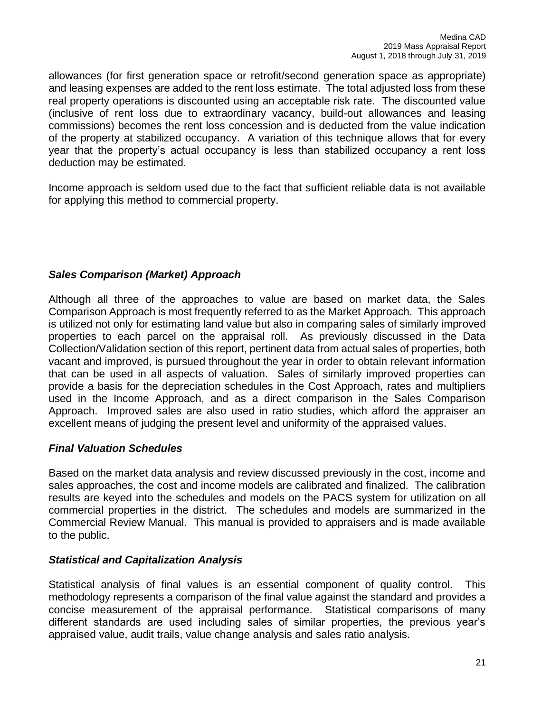allowances (for first generation space or retrofit/second generation space as appropriate) and leasing expenses are added to the rent loss estimate. The total adjusted loss from these real property operations is discounted using an acceptable risk rate. The discounted value (inclusive of rent loss due to extraordinary vacancy, build-out allowances and leasing commissions) becomes the rent loss concession and is deducted from the value indication of the property at stabilized occupancy. A variation of this technique allows that for every year that the property's actual occupancy is less than stabilized occupancy a rent loss deduction may be estimated.

Income approach is seldom used due to the fact that sufficient reliable data is not available for applying this method to commercial property.

# *Sales Comparison (Market) Approach*

Although all three of the approaches to value are based on market data, the Sales Comparison Approach is most frequently referred to as the Market Approach. This approach is utilized not only for estimating land value but also in comparing sales of similarly improved properties to each parcel on the appraisal roll. As previously discussed in the Data Collection/Validation section of this report, pertinent data from actual sales of properties, both vacant and improved, is pursued throughout the year in order to obtain relevant information that can be used in all aspects of valuation. Sales of similarly improved properties can provide a basis for the depreciation schedules in the Cost Approach, rates and multipliers used in the Income Approach, and as a direct comparison in the Sales Comparison Approach. Improved sales are also used in ratio studies, which afford the appraiser an excellent means of judging the present level and uniformity of the appraised values.

## *Final Valuation Schedules*

Based on the market data analysis and review discussed previously in the cost, income and sales approaches, the cost and income models are calibrated and finalized. The calibration results are keyed into the schedules and models on the PACS system for utilization on all commercial properties in the district. The schedules and models are summarized in the Commercial Review Manual. This manual is provided to appraisers and is made available to the public.

# *Statistical and Capitalization Analysis*

Statistical analysis of final values is an essential component of quality control. This methodology represents a comparison of the final value against the standard and provides a concise measurement of the appraisal performance. Statistical comparisons of many different standards are used including sales of similar properties, the previous year's appraised value, audit trails, value change analysis and sales ratio analysis.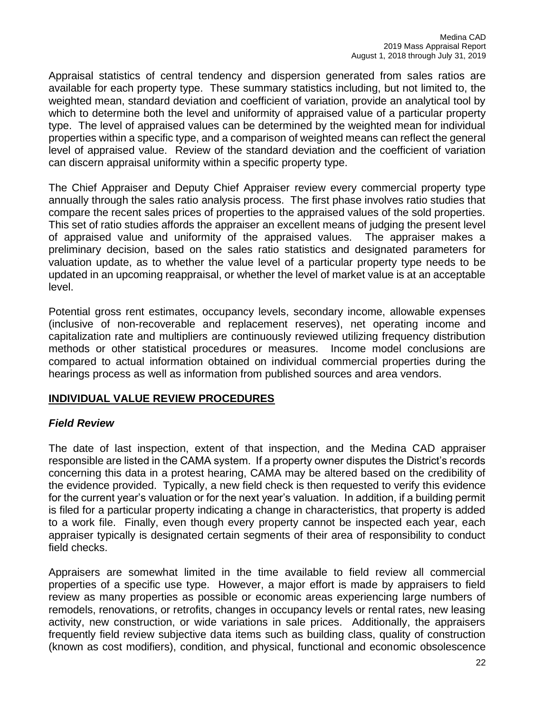Appraisal statistics of central tendency and dispersion generated from sales ratios are available for each property type. These summary statistics including, but not limited to, the weighted mean, standard deviation and coefficient of variation, provide an analytical tool by which to determine both the level and uniformity of appraised value of a particular property type. The level of appraised values can be determined by the weighted mean for individual properties within a specific type, and a comparison of weighted means can reflect the general level of appraised value. Review of the standard deviation and the coefficient of variation can discern appraisal uniformity within a specific property type.

The Chief Appraiser and Deputy Chief Appraiser review every commercial property type annually through the sales ratio analysis process. The first phase involves ratio studies that compare the recent sales prices of properties to the appraised values of the sold properties. This set of ratio studies affords the appraiser an excellent means of judging the present level of appraised value and uniformity of the appraised values. The appraiser makes a preliminary decision, based on the sales ratio statistics and designated parameters for valuation update, as to whether the value level of a particular property type needs to be updated in an upcoming reappraisal, or whether the level of market value is at an acceptable level.

Potential gross rent estimates, occupancy levels, secondary income, allowable expenses (inclusive of non-recoverable and replacement reserves), net operating income and capitalization rate and multipliers are continuously reviewed utilizing frequency distribution methods or other statistical procedures or measures. Income model conclusions are compared to actual information obtained on individual commercial properties during the hearings process as well as information from published sources and area vendors.

## **INDIVIDUAL VALUE REVIEW PROCEDURES**

## *Field Review*

The date of last inspection, extent of that inspection, and the Medina CAD appraiser responsible are listed in the CAMA system. If a property owner disputes the District's records concerning this data in a protest hearing, CAMA may be altered based on the credibility of the evidence provided. Typically, a new field check is then requested to verify this evidence for the current year's valuation or for the next year's valuation. In addition, if a building permit is filed for a particular property indicating a change in characteristics, that property is added to a work file. Finally, even though every property cannot be inspected each year, each appraiser typically is designated certain segments of their area of responsibility to conduct field checks.

Appraisers are somewhat limited in the time available to field review all commercial properties of a specific use type. However, a major effort is made by appraisers to field review as many properties as possible or economic areas experiencing large numbers of remodels, renovations, or retrofits, changes in occupancy levels or rental rates, new leasing activity, new construction, or wide variations in sale prices. Additionally, the appraisers frequently field review subjective data items such as building class, quality of construction (known as cost modifiers), condition, and physical, functional and economic obsolescence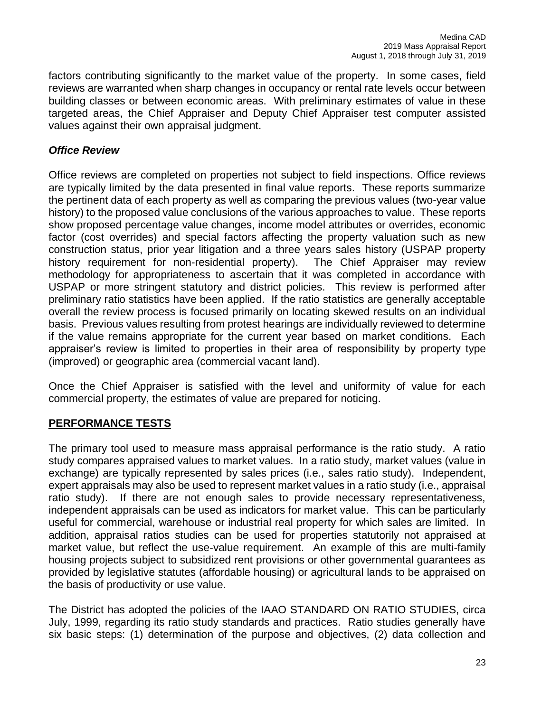factors contributing significantly to the market value of the property. In some cases, field reviews are warranted when sharp changes in occupancy or rental rate levels occur between building classes or between economic areas. With preliminary estimates of value in these targeted areas, the Chief Appraiser and Deputy Chief Appraiser test computer assisted values against their own appraisal judgment.

# *Office Review*

Office reviews are completed on properties not subject to field inspections. Office reviews are typically limited by the data presented in final value reports. These reports summarize the pertinent data of each property as well as comparing the previous values (two-year value history) to the proposed value conclusions of the various approaches to value. These reports show proposed percentage value changes, income model attributes or overrides, economic factor (cost overrides) and special factors affecting the property valuation such as new construction status, prior year litigation and a three years sales history (USPAP property history requirement for non-residential property). The Chief Appraiser may review methodology for appropriateness to ascertain that it was completed in accordance with USPAP or more stringent statutory and district policies. This review is performed after preliminary ratio statistics have been applied. If the ratio statistics are generally acceptable overall the review process is focused primarily on locating skewed results on an individual basis. Previous values resulting from protest hearings are individually reviewed to determine if the value remains appropriate for the current year based on market conditions. Each appraiser's review is limited to properties in their area of responsibility by property type (improved) or geographic area (commercial vacant land).

Once the Chief Appraiser is satisfied with the level and uniformity of value for each commercial property, the estimates of value are prepared for noticing.

# **PERFORMANCE TESTS**

The primary tool used to measure mass appraisal performance is the ratio study. A ratio study compares appraised values to market values. In a ratio study, market values (value in exchange) are typically represented by sales prices (i.e., sales ratio study). Independent, expert appraisals may also be used to represent market values in a ratio study (i.e., appraisal ratio study). If there are not enough sales to provide necessary representativeness, independent appraisals can be used as indicators for market value. This can be particularly useful for commercial, warehouse or industrial real property for which sales are limited. In addition, appraisal ratios studies can be used for properties statutorily not appraised at market value, but reflect the use-value requirement. An example of this are multi-family housing projects subject to subsidized rent provisions or other governmental guarantees as provided by legislative statutes (affordable housing) or agricultural lands to be appraised on the basis of productivity or use value.

The District has adopted the policies of the IAAO STANDARD ON RATIO STUDIES, circa July, 1999, regarding its ratio study standards and practices. Ratio studies generally have six basic steps: (1) determination of the purpose and objectives, (2) data collection and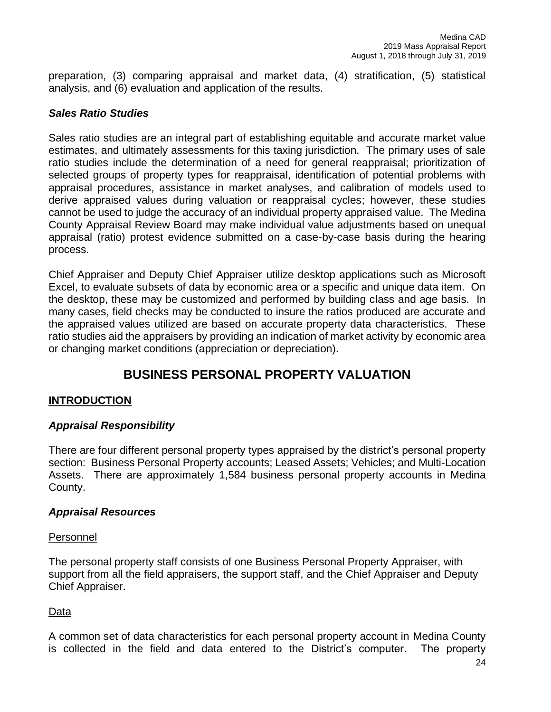preparation, (3) comparing appraisal and market data, (4) stratification, (5) statistical analysis, and (6) evaluation and application of the results.

# *Sales Ratio Studies*

Sales ratio studies are an integral part of establishing equitable and accurate market value estimates, and ultimately assessments for this taxing jurisdiction. The primary uses of sale ratio studies include the determination of a need for general reappraisal; prioritization of selected groups of property types for reappraisal, identification of potential problems with appraisal procedures, assistance in market analyses, and calibration of models used to derive appraised values during valuation or reappraisal cycles; however, these studies cannot be used to judge the accuracy of an individual property appraised value. The Medina County Appraisal Review Board may make individual value adjustments based on unequal appraisal (ratio) protest evidence submitted on a case-by-case basis during the hearing process.

Chief Appraiser and Deputy Chief Appraiser utilize desktop applications such as Microsoft Excel, to evaluate subsets of data by economic area or a specific and unique data item. On the desktop, these may be customized and performed by building class and age basis. In many cases, field checks may be conducted to insure the ratios produced are accurate and the appraised values utilized are based on accurate property data characteristics. These ratio studies aid the appraisers by providing an indication of market activity by economic area or changing market conditions (appreciation or depreciation).

# **BUSINESS PERSONAL PROPERTY VALUATION**

## **INTRODUCTION**

## *Appraisal Responsibility*

There are four different personal property types appraised by the district's personal property section: Business Personal Property accounts; Leased Assets; Vehicles; and Multi-Location Assets. There are approximately 1,584 business personal property accounts in Medina County.

## *Appraisal Resources*

## Personnel

The personal property staff consists of one Business Personal Property Appraiser, with support from all the field appraisers, the support staff, and the Chief Appraiser and Deputy Chief Appraiser.

## Data

A common set of data characteristics for each personal property account in Medina County is collected in the field and data entered to the District's computer. The property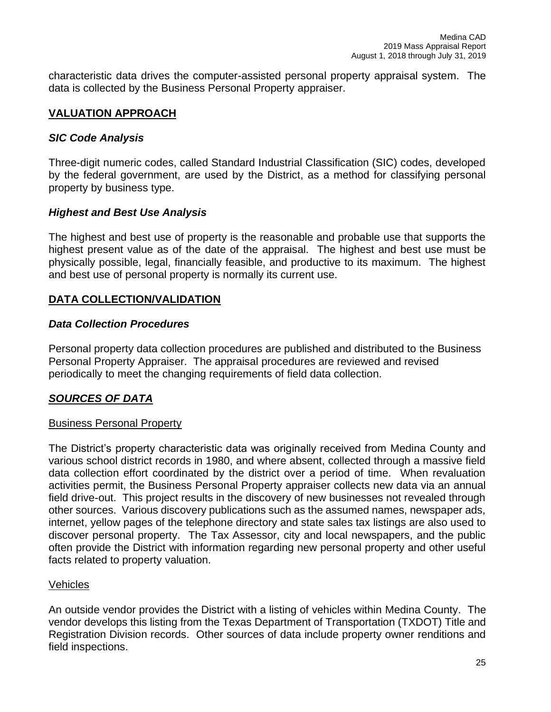characteristic data drives the computer-assisted personal property appraisal system. The data is collected by the Business Personal Property appraiser.

# **VALUATION APPROACH**

# *SIC Code Analysis*

Three-digit numeric codes, called Standard Industrial Classification (SIC) codes, developed by the federal government, are used by the District, as a method for classifying personal property by business type.

# *Highest and Best Use Analysis*

The highest and best use of property is the reasonable and probable use that supports the highest present value as of the date of the appraisal. The highest and best use must be physically possible, legal, financially feasible, and productive to its maximum. The highest and best use of personal property is normally its current use.

# **DATA COLLECTION/VALIDATION**

## *Data Collection Procedures*

Personal property data collection procedures are published and distributed to the Business Personal Property Appraiser. The appraisal procedures are reviewed and revised periodically to meet the changing requirements of field data collection.

# *SOURCES OF DATA*

## Business Personal Property

The District's property characteristic data was originally received from Medina County and various school district records in 1980, and where absent, collected through a massive field data collection effort coordinated by the district over a period of time. When revaluation activities permit, the Business Personal Property appraiser collects new data via an annual field drive-out. This project results in the discovery of new businesses not revealed through other sources. Various discovery publications such as the assumed names, newspaper ads, internet, yellow pages of the telephone directory and state sales tax listings are also used to discover personal property. The Tax Assessor, city and local newspapers, and the public often provide the District with information regarding new personal property and other useful facts related to property valuation.

## Vehicles

An outside vendor provides the District with a listing of vehicles within Medina County. The vendor develops this listing from the Texas Department of Transportation (TXDOT) Title and Registration Division records. Other sources of data include property owner renditions and field inspections.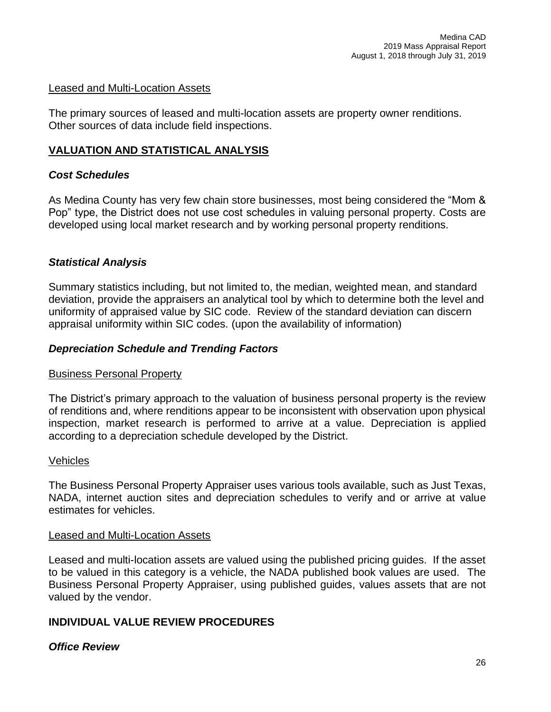#### Leased and Multi-Location Assets

The primary sources of leased and multi-location assets are property owner renditions. Other sources of data include field inspections.

## **VALUATION AND STATISTICAL ANALYSIS**

# *Cost Schedules*

As Medina County has very few chain store businesses, most being considered the "Mom & Pop" type, the District does not use cost schedules in valuing personal property. Costs are developed using local market research and by working personal property renditions.

# *Statistical Analysis*

Summary statistics including, but not limited to, the median, weighted mean, and standard deviation, provide the appraisers an analytical tool by which to determine both the level and uniformity of appraised value by SIC code. Review of the standard deviation can discern appraisal uniformity within SIC codes. (upon the availability of information)

## *Depreciation Schedule and Trending Factors*

## Business Personal Property

The District's primary approach to the valuation of business personal property is the review of renditions and, where renditions appear to be inconsistent with observation upon physical inspection, market research is performed to arrive at a value. Depreciation is applied according to a depreciation schedule developed by the District.

#### Vehicles

The Business Personal Property Appraiser uses various tools available, such as Just Texas, NADA, internet auction sites and depreciation schedules to verify and or arrive at value estimates for vehicles.

#### Leased and Multi-Location Assets

Leased and multi-location assets are valued using the published pricing guides. If the asset to be valued in this category is a vehicle, the NADA published book values are used. The Business Personal Property Appraiser, using published guides, values assets that are not valued by the vendor.

# **INDIVIDUAL VALUE REVIEW PROCEDURES**

# *Office Review*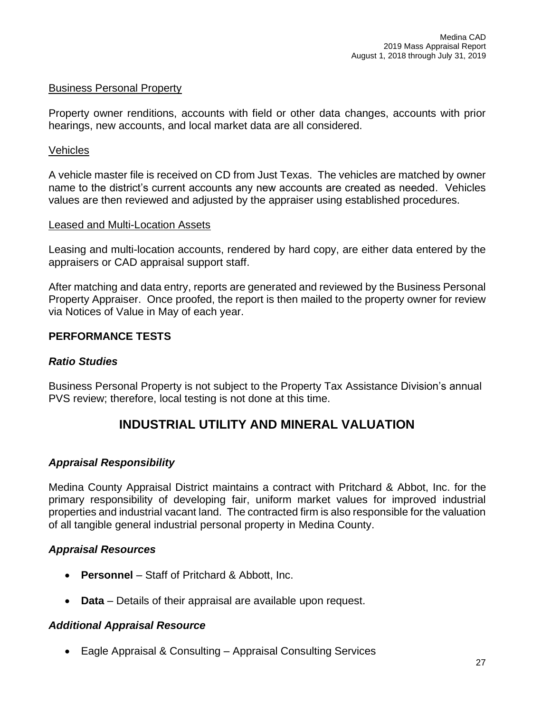#### Business Personal Property

Property owner renditions, accounts with field or other data changes, accounts with prior hearings, new accounts, and local market data are all considered.

#### Vehicles

A vehicle master file is received on CD from Just Texas. The vehicles are matched by owner name to the district's current accounts any new accounts are created as needed. Vehicles values are then reviewed and adjusted by the appraiser using established procedures.

#### Leased and Multi-Location Assets

Leasing and multi-location accounts, rendered by hard copy, are either data entered by the appraisers or CAD appraisal support staff.

After matching and data entry, reports are generated and reviewed by the Business Personal Property Appraiser. Once proofed, the report is then mailed to the property owner for review via Notices of Value in May of each year.

#### **PERFORMANCE TESTS**

#### *Ratio Studies*

Business Personal Property is not subject to the Property Tax Assistance Division's annual PVS review; therefore, local testing is not done at this time.

# **INDUSTRIAL UTILITY AND MINERAL VALUATION**

## *Appraisal Responsibility*

Medina County Appraisal District maintains a contract with Pritchard & Abbot, Inc. for the primary responsibility of developing fair, uniform market values for improved industrial properties and industrial vacant land. The contracted firm is also responsible for the valuation of all tangible general industrial personal property in Medina County.

#### *Appraisal Resources*

- **Personnel** Staff of Pritchard & Abbott, Inc.
- **Data** Details of their appraisal are available upon request.

#### *Additional Appraisal Resource*

• Eagle Appraisal & Consulting – Appraisal Consulting Services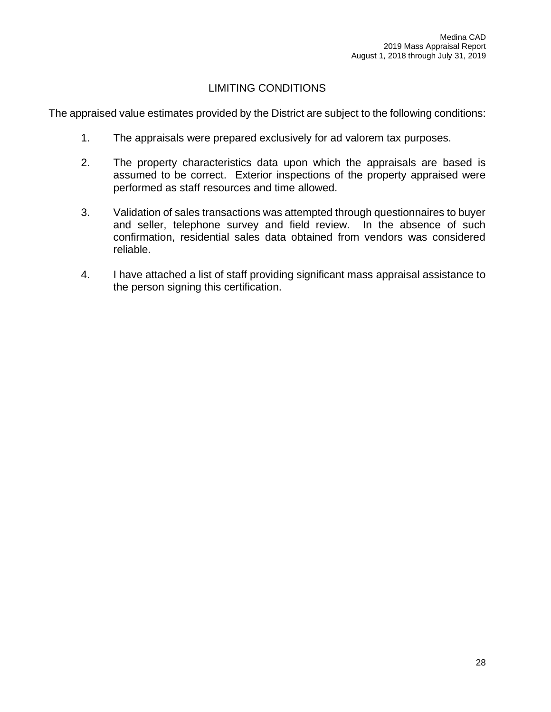# LIMITING CONDITIONS

The appraised value estimates provided by the District are subject to the following conditions:

- 1. The appraisals were prepared exclusively for ad valorem tax purposes.
- 2. The property characteristics data upon which the appraisals are based is assumed to be correct. Exterior inspections of the property appraised were performed as staff resources and time allowed.
- 3. Validation of sales transactions was attempted through questionnaires to buyer and seller, telephone survey and field review. In the absence of such confirmation, residential sales data obtained from vendors was considered reliable.
- 4. I have attached a list of staff providing significant mass appraisal assistance to the person signing this certification.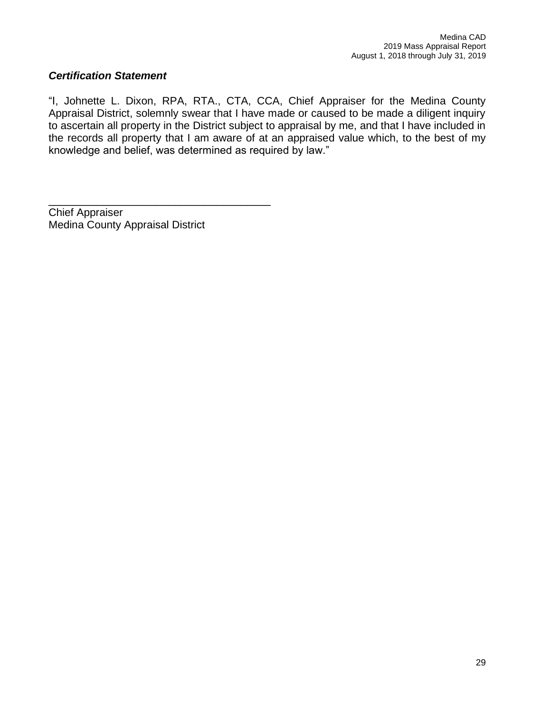# *Certification Statement*

"I, Johnette L. Dixon, RPA, RTA., CTA, CCA, Chief Appraiser for the Medina County Appraisal District, solemnly swear that I have made or caused to be made a diligent inquiry to ascertain all property in the District subject to appraisal by me, and that I have included in the records all property that I am aware of at an appraised value which, to the best of my knowledge and belief, was determined as required by law."

Chief Appraiser Medina County Appraisal District

\_\_\_\_\_\_\_\_\_\_\_\_\_\_\_\_\_\_\_\_\_\_\_\_\_\_\_\_\_\_\_\_\_\_\_\_\_